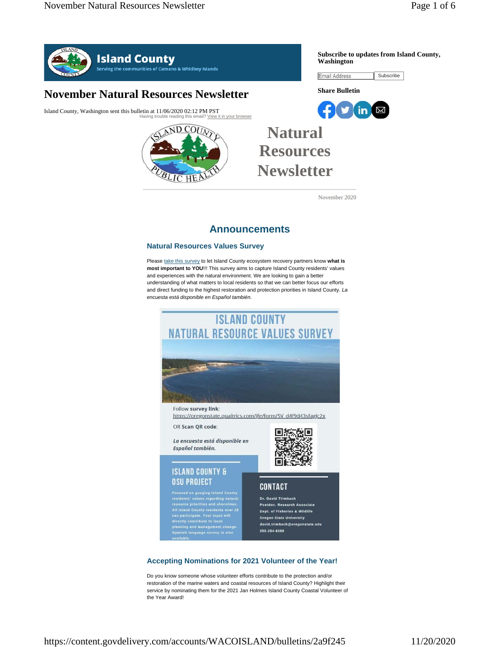**Subscribe to updates from Island County,** 

Subscribe



## **November Natural Resources Newsletter**

Island County, Washington sent this bulletin at 11/06/2020 02:12 PM PST our browser



# **Natural Resources Newsletter**

November 2020

**Washington**

Email Address

**Share Bulletin**

 $f(y)$  in  $\boxtimes$ 

## **Announcements**

#### **Natural Resources Values Survey**

Please take this survey to let Island County ecosystem recovery partners know what is **most important to YOU**!!! This survey aims to capture Island County residents' values and experiences with the natural environment. We are looking to gain a better understanding of what matters to local residents so that we can better focus our efforts and direct funding to the highest restoration and protection priorities in Island County. *La encuesta está disponible en Español también.*



#### **Accepting Nominations for 2021 Volunteer of the Year!**

Do you know someone whose volunteer efforts contribute to the protection and/or restoration of the marine waters and coastal resources of Island County? Highlight their service by nominating them for the 2021 Jan Holmes Island County Coastal Volunteer of the Year Award!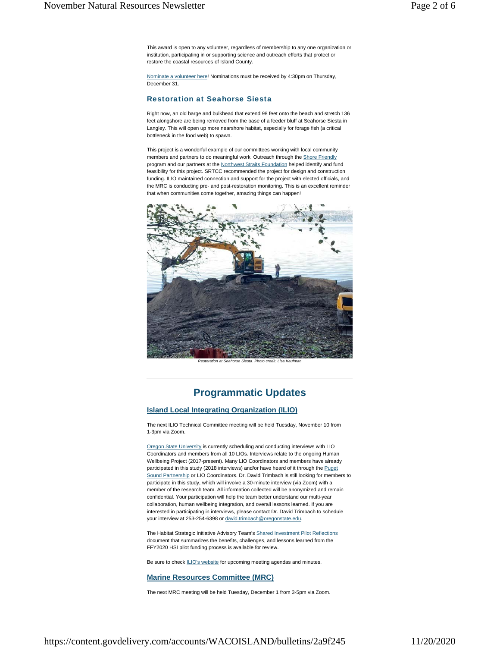This award is open to any volunteer, regardless of membership to any one organization or institution, participating in or supporting science and outreach efforts that protect or restore the coastal resources of Island County.

Nominate a volunteer here! Nominations must be received by 4:30pm on Thursday, December 31.

#### Restoration at Seahorse Siesta

Right now, an old barge and bulkhead that extend 98 feet onto the beach and stretch 136 feet alongshore are being removed from the base of a feeder bluff at Seahorse Siesta in Langley. This will open up more nearshore habitat, especially for forage fish (a critical bottleneck in the food web) to spawn.

This project is a wonderful example of our committees working with local community members and partners to do meaningful work. Outreach through the Shore Friendly program and our partners at the Northwest Straits Foundation helped identify and fund feasibility for this project. SRTCC recommended the project for design and construction funding. ILIO maintained connection and support for the project with elected officials, and the MRC is conducting pre- and post-restoration monitoring. This is an excellent reminder that when communities come together, amazing things can happen!



*Restoration at Seahorse Siesta. Photo credit: Lisa Kaufman*

### **Programmatic Updates**

#### **Island Local Integrating Organization (ILIO)**

The next ILIO Technical Committee meeting will be held Tuesday, November 10 from 1-3pm via Zoom.

Oregon State University is currently scheduling and conducting interviews with LIO Coordinators and members from all 10 LIOs. Interviews relate to the ongoing Human Wellbeing Project (2017-present). Many LIO Coordinators and members have already participated in this study (2018 interviews) and/or have heard of it through the Puget Sound Partnership or LIO Coordinators. Dr. David Trimbach is still looking for members to participate in this study, which will involve a 30-minute interview (via Zoom) with a member of the research team. All information collected will be anonymized and remain confidential. Your participation will help the team better understand our multi-year collaboration, human wellbeing integration, and overall lessons learned. If you are interested in participating in interviews, please contact Dr. David Trimbach to schedule your interview at 253-254-6398 or david.trimbach@oregonstate.edu.

The Habitat Strategic Initiative Advisory Team's Shared Investment Pilot Reflections document that summarizes the benefits, challenges, and lessons learned from the FFY2020 HSI pilot funding process is available for review.

Be sure to check **ILIO's website** for upcoming meeting agendas and minutes.

#### **Marine Resources Committee (MRC)**

The next MRC meeting will be held Tuesday, December 1 from 3-5pm via Zoom.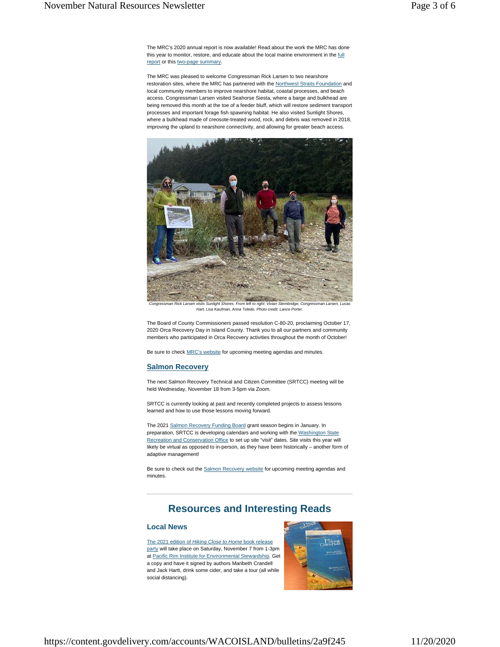The MRC's 2020 annual report is now available! Read about the work the MRC has done this year to monitor, restore, and educate about the local marine environment in the full report or this two-page summary.

The MRC was pleased to welcome Congressman Rick Larsen to two nearshore restoration sites, where the MRC has partnered with the Northwest Straits Foundation and local community members to improve nearshore habitat, coastal processes, and beach access. Congressman Larsen visited Seahorse Siesta, where a barge and bulkhead are being removed this month at the toe of a feeder bluff, which will restore sediment transport processes and important forage fish spawning habitat. He also visited Sunlight Shores, where a bulkhead made of creosote-treated wood, rock, and debris was removed in 2018, improving the upland to nearshore connectivity, and allowing for greater beach access.



*Congressman Rick Larsen visits Sunlight Shores. From left to right: Vivian Stembridge, Congressman Larsen, Lucas Hart, Lisa Kaufman, Anna Toledo. Photo credit: Lance Porter.*

The Board of County Commissioners passed resolution C-80-20, proclaiming October 17, 2020 Orca Recovery Day in Island County. Thank you to all our partners and community members who participated in Orca Recovery activities throughout the month of October!

Be sure to check **MRC's website** for upcoming meeting agendas and minutes.

#### **Salmon Recovery**

The next Salmon Recovery Technical and Citizen Committee (SRTCC) meeting will be held Wednesday, November 18 from 3-5pm via Zoom.

SRTCC is currently looking at past and recently completed projects to assess lessons learned and how to use those lessons moving forward.

The 2021 Salmon Recovery Funding Board grant season begins in January. In preparation, SRTCC is developing calendars and working with the Washington State Recreation and Conservation Office to set up site "visit" dates. Site visits this year will likely be virtual as opposed to in-person, as they have been historically – another form of adaptive management!

Be sure to check out the **Salmon Recovery website** for upcoming meeting agendas and minutes.

## **Resources and Interesting Reads**

#### **Local News**

The 2021 edition of *Hiking Close to Home* book release party will take place on Saturday, November 7 from 1-3pm at Pacific Rim Institute for Environmental Stewardship. Get a copy and have it signed by authors Maribeth Crandell and Jack Hartt, drink some cider, and take a tour (all while social distancing).

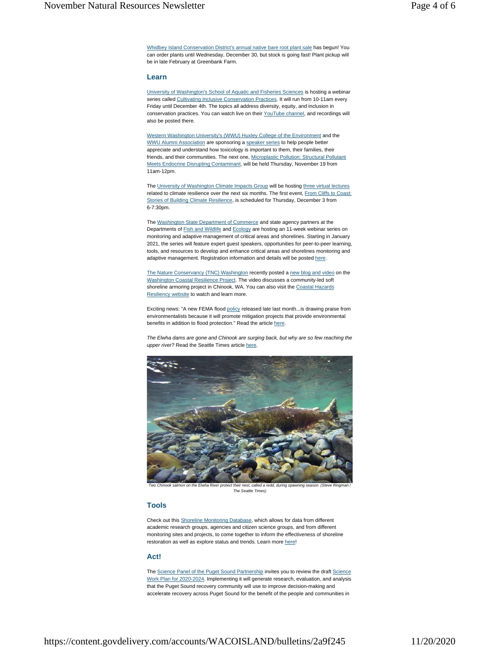Whidbey Island Conservation District's annual native bare root plant sale has begun! You can order plants until Wednesday, December 30, but stock is going fast! Plant pickup will be in late February at Greenbank Farm.

#### **Learn**

University of Washington's School of Aquatic and Fisheries Sciences is hosting a webinar series called Cultivating Inclusive Conservation Practices. It will run from 10-11am every Friday until December 4th. The topics all address diversity, equity, and inclusion in conservation practices. You can watch live on their YouTube channel, and recordings will also be posted there.

Western Washington University's (WWU) Huxley College of the Environment and the WWU Alumni Association are sponsoring a speaker series to help people better appreciate and understand how toxicology is important to them, their families, their friends, and their communities. The next one, Microplastic Pollution: Structural Pollutant Meets Endocrine Disrupting Contaminant, will be held Thursday, November 19 from 11am-12pm.

The University of Washington Climate Impacts Group will be hosting three virtual lectures related to climate resilience over the next six months. The first event, From Cliffs to Coast: Stories of Building Climate Resilience, is scheduled for Thursday, December 3 from 6-7:30pm.

The Washington State Department of Commerce and state agency partners at the Departments of Fish and Wildlife and Ecology are hosting an 11-week webinar series on monitoring and adaptive management of critical areas and shorelines. Starting in January 2021, the series will feature expert guest speakers, opportunities for peer-to-peer learning, tools, and resources to develop and enhance critical areas and shorelines monitoring and adaptive management. Registration information and details will be posted here.

The Nature Conservancy (TNC) Washington recently posted a new blog and video on the Washington Coastal Resilience Project. The video discusses a community-led soft shoreline armoring project in Chinook, WA. You can also visit the Coastal Hazards Resiliency website to watch and learn more.

Exciting news: "A new FEMA flood policy released late last month...is drawing praise from environmentalists because it will promote mitigation projects that provide environmental benefits in addition to flood protection." Read the article here.

*The Elwha dams are gone and Chinook are surging back, but why are so few reaching the upper river?* Read the Seattle Times article here.



*Two Chinook salmon on the Elwha River protect their nest, called a redd, during spawning season. (Steve Ringman / The Seattle Times)*

#### **Tools**

Check out this Shoreline Monitoring Database, which allows for data from different academic research groups, agencies and citizen science groups, and from different monitoring sites and projects, to come together to inform the effectiveness of shoreline restoration as well as explore status and trends. Learn more here!

#### **Act!**

The Science Panel of the Puget Sound Partnership invites you to review the draft Science Work Plan for 2020-2024. Implementing it will generate research, evaluation, and analysis that the Puget Sound recovery community will use to improve decision-making and accelerate recovery across Puget Sound for the benefit of the people and communities in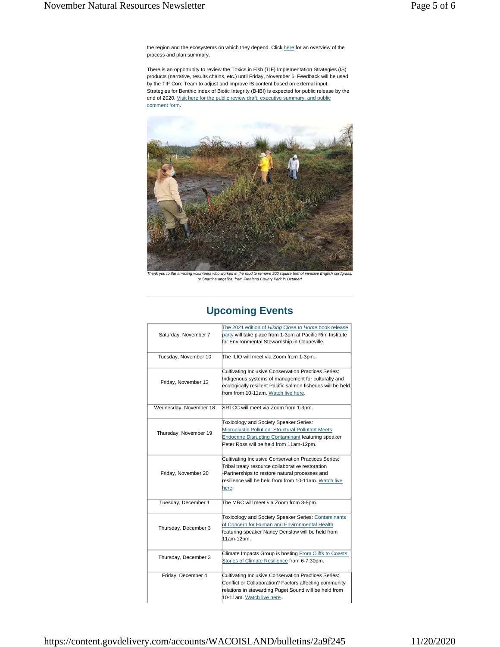the region and the ecosystems on which they depend. Click here for an overview of the process and plan summary.

There is an opportunity to review the Toxics in Fish (TIF) Implementation Strategies (IS) products (narrative, results chains, etc.) until Friday, November 6. Feedback will be used by the TIF Core Team to adjust and improve IS content based on external input. Strategies for Benthic Index of Biotic Integrity (B-IBI) is expected for public release by the end of 2020. Visit here for the public review draft, executive summary, and public comment form.



ank you to the amazing volunteers who worked in the mud to remove 300 square feet of invasive English cordgr *or Spartina angelica, from Freeland County Park in October!*

| Saturday, November 7   | The 2021 edition of Hiking Close to Home book release<br>party will take place from 1-3pm at Pacific Rim Institute<br>for Environmental Stewardship in Coupeville.                                                          |
|------------------------|-----------------------------------------------------------------------------------------------------------------------------------------------------------------------------------------------------------------------------|
| Tuesday, November 10   | The ILIO will meet via Zoom from 1-3pm.                                                                                                                                                                                     |
| Friday, November 13    | Cultivating Inclusive Conservation Practices Series:<br>Indigenous systems of management for culturally and<br>ecologically resilient Pacific salmon fisheries will be held<br>from from 10-11am. Watch live here.          |
| Wednesday, November 18 | SRTCC will meet via Zoom from 1-3pm.                                                                                                                                                                                        |
| Thursday, November 19  | Toxicology and Society Speaker Series:<br>Microplastic Pollution: Structural Pollutant Meets<br><b>Endocrine Disrupting Contaminant featuring speaker</b><br>Peter Ross will be held from 11am-12pm.                        |
| Friday, November 20    | Cultivating Inclusive Conservation Practices Series:<br>Tribal treaty resource collaborative restoration<br>Partnerships to restore natural processes and<br>resilience will be held from from 10-11am. Watch live<br>here. |
| Tuesday, December 1    | The MRC will meet via Zoom from 3-5pm.                                                                                                                                                                                      |
| Thursday, December 3   | <b>Toxicology and Society Speaker Series: Contaminants</b><br>of Concern for Human and Environmental Health<br>featuring speaker Nancy Denslow will be held from<br>11am-12pm.                                              |
| Thursday, December 3   | Climate Impacts Group is hosting From Cliffs to Coasts:<br>Stories of Climate Resilience from 6-7:30pm.                                                                                                                     |
| Friday, December 4     | Cultivating Inclusive Conservation Practices Series:<br>Conflict or Collaboration? Factors affecting community<br>relations in stewarding Puget Sound will be held from<br>10-11am. Watch live here.                        |

## **Upcoming Events**